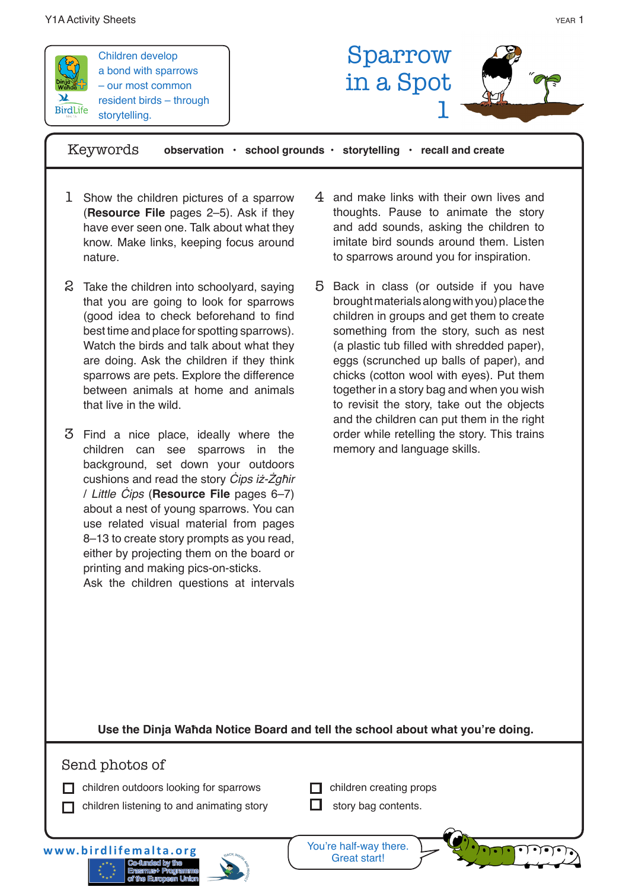

Children develop a bond with sparrows – our most common resident birds – through storytelling.



Keywords **observation • school grounds • storytelling • recall and create**

- 1 Show the children pictures of a sparrow (**Resource File** pages 2–5). Ask if they have ever seen one. Talk about what they know. Make links, keeping focus around nature.
- 2 Take the children into schoolyard, saying that you are going to look for sparrows (good idea to check beforehand to find best time and place for spotting sparrows). Watch the birds and talk about what they are doing. Ask the children if they think sparrows are pets. Explore the difference between animals at home and animals that live in the wild.
- Find a nice place, ideally where the 3 children can see sparrows in the background, set down your outdoors cushions and read the story Cips iż-Żgħir / Little Ċips (**Resource File** pages 6–7) about a nest of young sparrows. You can use related visual material from pages 8–13 to create story prompts as you read, either by projecting them on the board or printing and making pics-on-sticks. Ask the children questions at intervals

 $4$  and make links with their own lives and thoughts. Pause to animate the story and add sounds, asking the children to imitate bird sounds around them. Listen to sparrows around you for inspiration.

5 Back in class (or outside if you have brought materials along with you) place the children in groups and get them to create something from the story, such as nest (a plastic tub filled with shredded paper), eggs (scrunched up balls of paper), and chicks (cotton wool with eyes). Put them together in a story bag and when you wish to revisit the story, take out the objects and the children can put them in the right order while retelling the story. This trains memory and language skills.

**Use the Dinja Waħda Notice Board and tell the school about what you're doing.**